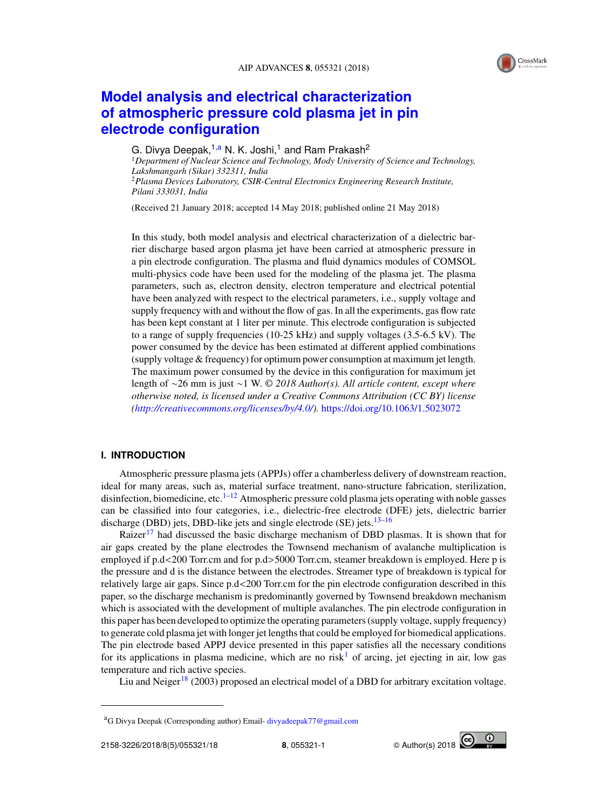# **Model analysis and electrical characterization of atmospheric pressure cold plasma jet in pin electrode configuration**

G. Divya Deepak,  $1, a \text{ N}$ . K. Joshi,<sup>1</sup> and Ram Prakash<sup>2</sup>

<sup>1</sup>*Department of Nuclear Science and Technology, Mody University of Science and Technology, Lakshmangarh (Sikar) 332311, India* <sup>2</sup>*Plasma Devices Laboratory, CSIR-Central Electronics Engineering Research Institute, Pilani 333031, India*

(Received 21 January 2018; accepted 14 May 2018; published online 21 May 2018)

In this study, both model analysis and electrical characterization of a dielectric barrier discharge based argon plasma jet have been carried at atmospheric pressure in a pin electrode configuration. The plasma and fluid dynamics modules of COMSOL multi-physics code have been used for the modeling of the plasma jet. The plasma parameters, such as, electron density, electron temperature and electrical potential have been analyzed with respect to the electrical parameters, i.e., supply voltage and supply frequency with and without the flow of gas. In all the experiments, gas flow rate has been kept constant at 1 liter per minute. This electrode configuration is subjected to a range of supply frequencies (10-25 kHz) and supply voltages (3.5-6.5 kV). The power consumed by the device has been estimated at different applied combinations (supply voltage & frequency) for optimum power consumption at maximum jet length. The maximum power consumed by the device in this configuration for maximum jet length of ∼26 mm is just ∼1 W. © *2018 Author(s). All article content, except where otherwise noted, is licensed under a Creative Commons Attribution (CC BY) license (http://creativecommons.org/licenses/by/4.0/).* https://doi.org/10.1063/1.5023072

## **I. INTRODUCTION**

Atmospheric pressure plasma jets (APPJs) offer a chamberless delivery of downstream reaction, ideal for many areas, such as, material surface treatment, nano-structure fabrication, sterilization, disinfection, biomedicine, etc.<sup>1–12</sup> Atmospheric pressure cold plasma jets operating with noble gasses can be classified into four categories, i.e., dielectric-free electrode (DFE) jets, dielectric barrier discharge (DBD) jets, DBD-like jets and single electrode (SE) jets.<sup>13-16</sup>

Raizer<sup>17</sup> had discussed the basic discharge mechanism of DBD plasmas. It is shown that for air gaps created by the plane electrodes the Townsend mechanism of avalanche multiplication is employed if p.d<200 Torr.cm and for p.d>5000 Torr.cm, steamer breakdown is employed. Here p is the pressure and d is the distance between the electrodes. Streamer type of breakdown is typical for relatively large air gaps. Since p.d<200 Torr.cm for the pin electrode configuration described in this paper, so the discharge mechanism is predominantly governed by Townsend breakdown mechanism which is associated with the development of multiple avalanches. The pin electrode configuration in this paper has been developed to optimize the operating parameters (supply voltage, supply frequency) to generate cold plasma jet with longer jet lengths that could be employed for biomedical applications. The pin electrode based APPJ device presented in this paper satisfies all the necessary conditions for its applications in plasma medicine, which are no risk<sup>1</sup> of arcing, jet ejecting in air, low gas temperature and rich active species.

Liu and Neiger<sup>18</sup> (2003) proposed an electrical model of a DBD for arbitrary excitation voltage.



<sup>a</sup>G Divya Deepak (Corresponding author) Email- divyadeepak77@gmail.com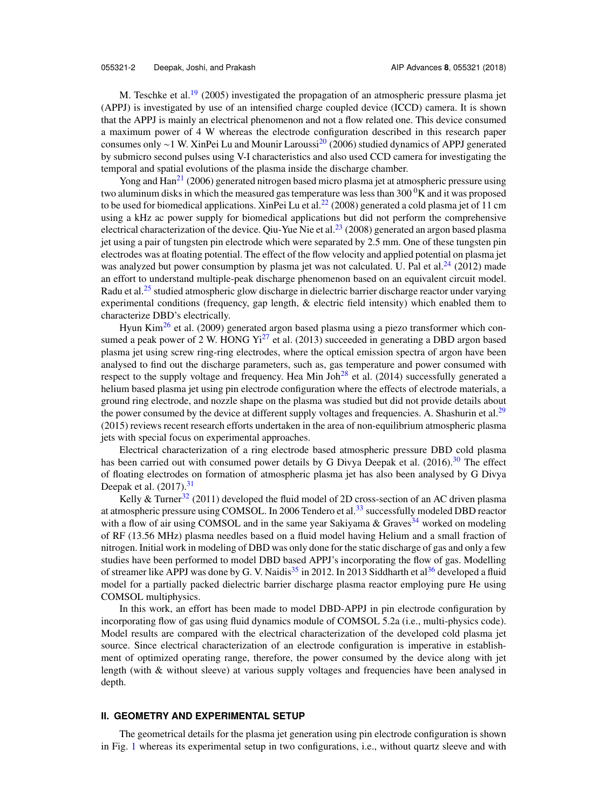M. Teschke et al.<sup>19</sup> (2005) investigated the propagation of an atmospheric pressure plasma jet (APPJ) is investigated by use of an intensified charge coupled device (ICCD) camera. It is shown that the APPJ is mainly an electrical phenomenon and not a flow related one. This device consumed a maximum power of 4 W whereas the electrode configuration described in this research paper consumes only ∼1 W. XinPei Lu and Mounir Laroussi<sup>20</sup> (2006) studied dynamics of APPJ generated by submicro second pulses using V-I characteristics and also used CCD camera for investigating the temporal and spatial evolutions of the plasma inside the discharge chamber.

Yong and  $\text{Han}^{21}$  (2006) generated nitrogen based micro plasma jet at atmospheric pressure using two aluminum disks in which the measured gas temperature was less than  $300<sup>0</sup>K$  and it was proposed to be used for biomedical applications. XinPei Lu et al.<sup>22</sup> (2008) generated a cold plasma jet of 11 cm using a kHz ac power supply for biomedical applications but did not perform the comprehensive electrical characterization of the device. Qiu-Yue Nie et al.<sup>23</sup> (2008) generated an argon based plasma jet using a pair of tungsten pin electrode which were separated by 2.5 mm. One of these tungsten pin electrodes was at floating potential. The effect of the flow velocity and applied potential on plasma jet was analyzed but power consumption by plasma jet was not calculated. U. Pal et al.<sup>24</sup> (2012) made an effort to understand multiple-peak discharge phenomenon based on an equivalent circuit model. Radu et al.<sup>25</sup> studied atmospheric glow discharge in dielectric barrier discharge reactor under varying experimental conditions (frequency, gap length, & electric field intensity) which enabled them to characterize DBD's electrically.

Hyun Kim<sup>26</sup> et al. (2009) generated argon based plasma using a piezo transformer which consumed a peak power of 2 W. HONG  $Y_1^2$  et al. (2013) succeeded in generating a DBD argon based plasma jet using screw ring-ring electrodes, where the optical emission spectra of argon have been analysed to find out the discharge parameters, such as, gas temperature and power consumed with respect to the supply voltage and frequency. Hea Min Joh<sup>28</sup> et al. (2014) successfully generated a helium based plasma jet using pin electrode configuration where the effects of electrode materials, a ground ring electrode, and nozzle shape on the plasma was studied but did not provide details about the power consumed by the device at different supply voltages and frequencies. A. Shashurin et al.<sup>29</sup> (2015) reviews recent research efforts undertaken in the area of non-equilibrium atmospheric plasma jets with special focus on experimental approaches.

Electrical characterization of a ring electrode based atmospheric pressure DBD cold plasma has been carried out with consumed power details by G Divya Deepak et al.  $(2016)^{30}$  The effect of floating electrodes on formation of atmospheric plasma jet has also been analysed by G Divya Deepak et al.  $(2017).<sup>31</sup>$ 

Kelly & Turner<sup>32</sup> (2011) developed the fluid model of 2D cross-section of an AC driven plasma at atmospheric pressure using COMSOL. In 2006 Tendero et al.<sup>33</sup> successfully modeled DBD reactor with a flow of air using COMSOL and in the same year Sakiyama & Graves<sup>34</sup> worked on modeling of RF (13.56 MHz) plasma needles based on a fluid model having Helium and a small fraction of nitrogen. Initial work in modeling of DBD was only done for the static discharge of gas and only a few studies have been performed to model DBD based APPJ's incorporating the flow of gas. Modelling of streamer like APPJ was done by G. V. Naidis<sup>35</sup> in 2012. In 2013 Siddharth et al<sup>36</sup> developed a fluid model for a partially packed dielectric barrier discharge plasma reactor employing pure He using COMSOL multiphysics.

In this work, an effort has been made to model DBD-APPJ in pin electrode configuration by incorporating flow of gas using fluid dynamics module of COMSOL 5.2a (i.e., multi-physics code). Model results are compared with the electrical characterization of the developed cold plasma jet source. Since electrical characterization of an electrode configuration is imperative in establishment of optimized operating range, therefore, the power consumed by the device along with jet length (with & without sleeve) at various supply voltages and frequencies have been analysed in depth.

## **II. GEOMETRY AND EXPERIMENTAL SETUP**

The geometrical details for the plasma jet generation using pin electrode configuration is shown in Fig. 1 whereas its experimental setup in two configurations, i.e., without quartz sleeve and with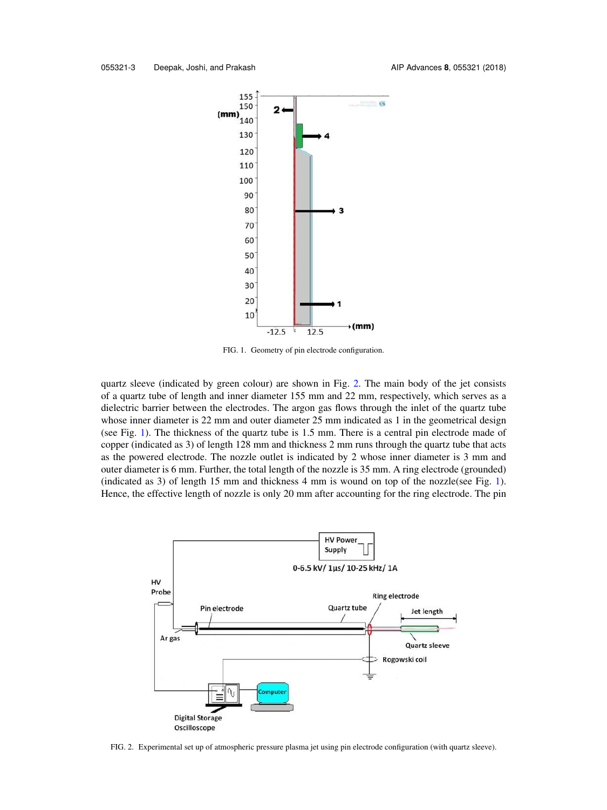

FIG. 1. Geometry of pin electrode configuration.

quartz sleeve (indicated by green colour) are shown in Fig. 2. The main body of the jet consists of a quartz tube of length and inner diameter 155 mm and 22 mm, respectively, which serves as a dielectric barrier between the electrodes. The argon gas flows through the inlet of the quartz tube whose inner diameter is 22 mm and outer diameter 25 mm indicated as 1 in the geometrical design (see Fig. 1). The thickness of the quartz tube is 1.5 mm. There is a central pin electrode made of copper (indicated as 3) of length 128 mm and thickness 2 mm runs through the quartz tube that acts as the powered electrode. The nozzle outlet is indicated by 2 whose inner diameter is 3 mm and outer diameter is 6 mm. Further, the total length of the nozzle is 35 mm. A ring electrode (grounded) (indicated as 3) of length 15 mm and thickness 4 mm is wound on top of the nozzle(see Fig. 1). Hence, the effective length of nozzle is only 20 mm after accounting for the ring electrode. The pin



FIG. 2. Experimental set up of atmospheric pressure plasma jet using pin electrode configuration (with quartz sleeve).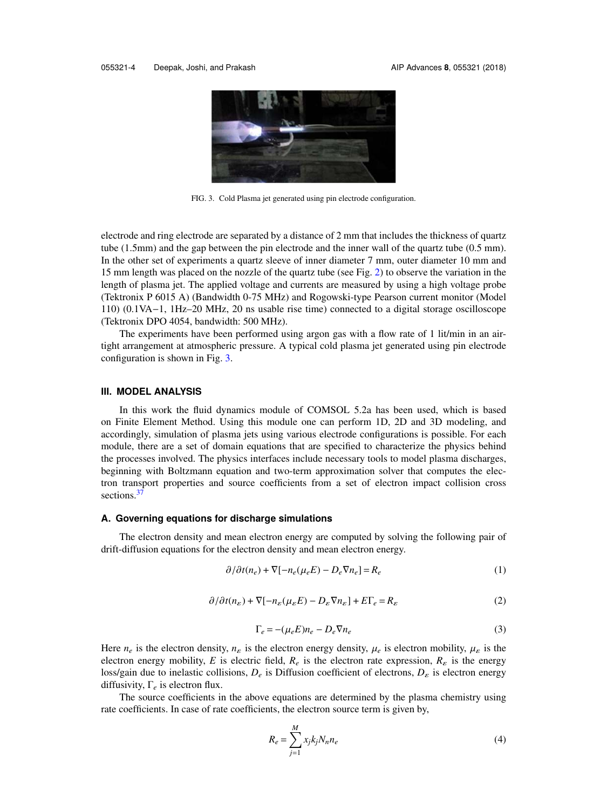

FIG. 3. Cold Plasma jet generated using pin electrode configuration.

electrode and ring electrode are separated by a distance of 2 mm that includes the thickness of quartz tube (1.5mm) and the gap between the pin electrode and the inner wall of the quartz tube (0.5 mm). In the other set of experiments a quartz sleeve of inner diameter 7 mm, outer diameter 10 mm and 15 mm length was placed on the nozzle of the quartz tube (see Fig. 2) to observe the variation in the length of plasma jet. The applied voltage and currents are measured by using a high voltage probe (Tektronix P 6015 A) (Bandwidth 0-75 MHz) and Rogowski-type Pearson current monitor (Model 110) (0.1VA−1, 1Hz–20 MHz, 20 ns usable rise time) connected to a digital storage oscilloscope (Tektronix DPO 4054, bandwidth: 500 MHz).

The experiments have been performed using argon gas with a flow rate of 1 lit/min in an airtight arrangement at atmospheric pressure. A typical cold plasma jet generated using pin electrode configuration is shown in Fig. 3.

#### **III. MODEL ANALYSIS**

In this work the fluid dynamics module of COMSOL 5.2a has been used, which is based on Finite Element Method. Using this module one can perform 1D, 2D and 3D modeling, and accordingly, simulation of plasma jets using various electrode configurations is possible. For each module, there are a set of domain equations that are specified to characterize the physics behind the processes involved. The physics interfaces include necessary tools to model plasma discharges, beginning with Boltzmann equation and two-term approximation solver that computes the electron transport properties and source coefficients from a set of electron impact collision cross sections.<sup>37</sup>

#### **A. Governing equations for discharge simulations**

The electron density and mean electron energy are computed by solving the following pair of drift-diffusion equations for the electron density and mean electron energy.

$$
\partial/\partial t(n_e) + \nabla[-n_e(\mu_e E) - D_e \nabla n_e] = R_e
$$
\n(1)

$$
\partial/\partial t(n_{\varepsilon}) + \nabla [-n_{\varepsilon}(\mu_{\varepsilon}E) - D_{\varepsilon}\nabla n_{\varepsilon}] + E\Gamma_{e} = R_{\varepsilon}
$$
\n(2)

$$
\Gamma_e = -(\mu_e E) n_e - D_e \nabla n_e \tag{3}
$$

Here  $n_e$  is the electron density,  $n_{\varepsilon}$  is the electron energy density,  $\mu_e$  is electron mobility,  $\mu_{\varepsilon}$  is the electron energy mobility, *E* is electric field,  $R_e$  is the electron rate expression,  $R_{\epsilon}$  is the energy loss/gain due to inelastic collisions, *D<sup>e</sup>* is Diffusion coefficient of electrons, *D*<sup>ε</sup> is electron energy diffusivity, Γ*<sup>e</sup>* is electron flux.

The source coefficients in the above equations are determined by the plasma chemistry using rate coefficients. In case of rate coefficients, the electron source term is given by,

$$
R_e = \sum_{j=1}^{M} x_j k_j N_n n_e \tag{4}
$$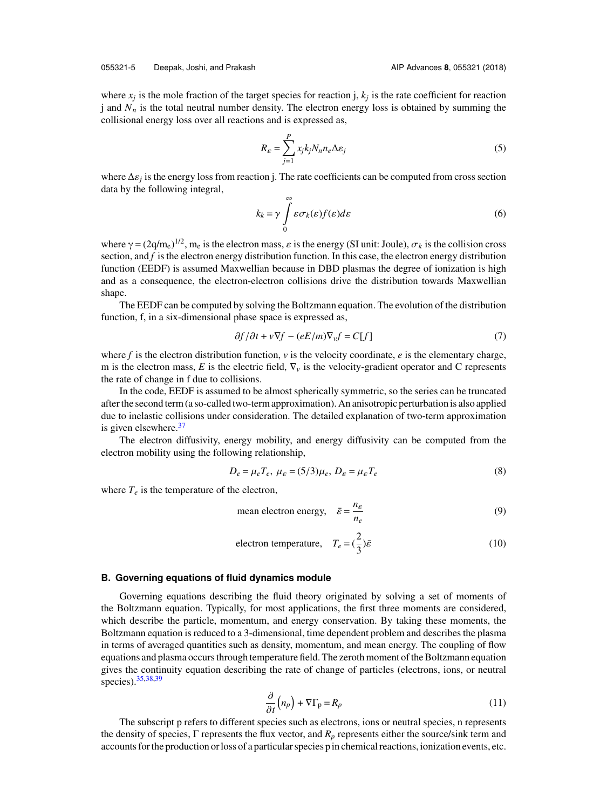where  $x_j$  is the mole fraction of the target species for reaction j,  $k_j$  is the rate coefficient for reaction j and  $N<sub>n</sub>$  is the total neutral number density. The electron energy loss is obtained by summing the collisional energy loss over all reactions and is expressed as,

$$
R_{\varepsilon} = \sum_{j=1}^{P} x_j k_j N_n n_e \Delta \varepsilon_j \tag{5}
$$

where ∆ε*<sup>j</sup>* is the energy loss from reaction j. The rate coefficients can be computed from cross section data by the following integral,

$$
k_k = \gamma \int_{0}^{\infty} \varepsilon \sigma_k(\varepsilon) f(\varepsilon) d\varepsilon \tag{6}
$$

where  $\gamma = (2q/m_e)^{1/2}$ , m<sub>e</sub> is the electron mass,  $\varepsilon$  is the energy (SI unit: Joule),  $\sigma_k$  is the collision cross section, and *f* is the electron energy distribution function. In this case, the electron energy distribution function (EEDF) is assumed Maxwellian because in DBD plasmas the degree of ionization is high and as a consequence, the electron-electron collisions drive the distribution towards Maxwellian shape.

The EEDF can be computed by solving the Boltzmann equation. The evolution of the distribution function, f, in a six-dimensional phase space is expressed as,

$$
\partial f/\partial t + v \nabla f - (eE/m)\nabla_v f = C[f] \tag{7}
$$

where  $f$  is the electron distribution function,  $v$  is the velocity coordinate,  $e$  is the elementary charge, m is the electron mass, *E* is the electric field,  $\nabla$ <sup>*v*</sup> is the velocity-gradient operator and C represents the rate of change in f due to collisions.

In the code, EEDF is assumed to be almost spherically symmetric, so the series can be truncated after the second term (a so-called two-term approximation). An anisotropic perturbation is also applied due to inelastic collisions under consideration. The detailed explanation of two-term approximation is given elsewhere.<sup>37</sup>

The electron diffusivity, energy mobility, and energy diffusivity can be computed from the electron mobility using the following relationship,

$$
D_e = \mu_e T_e, \ \mu_{\varepsilon} = (5/3)\mu_e, \ D_{\varepsilon} = \mu_{\varepsilon} T_e \tag{8}
$$

where  $T_e$  is the temperature of the electron,

mean electron energy, 
$$
\bar{\varepsilon} = \frac{n_{\varepsilon}}{n_e}
$$
 (9)

electron temperature, 
$$
T_e = (\frac{2}{3})\bar{\varepsilon}
$$
 (10)

#### **B. Governing equations of fluid dynamics module**

Governing equations describing the fluid theory originated by solving a set of moments of the Boltzmann equation. Typically, for most applications, the first three moments are considered, which describe the particle, momentum, and energy conservation. By taking these moments, the Boltzmann equation is reduced to a 3-dimensional, time dependent problem and describes the plasma in terms of averaged quantities such as density, momentum, and mean energy. The coupling of flow equations and plasma occurs through temperature field. The zeroth moment of the Boltzmann equation gives the continuity equation describing the rate of change of particles (electrons, ions, or neutral species). 35,38,39

$$
\frac{\partial}{\partial t}\left(n_p\right) + \nabla\Gamma_p = R_p \tag{11}
$$

The subscript p refers to different species such as electrons, ions or neutral species, n represents the density of species, Γ represents the flux vector, and *R<sup>p</sup>* represents either the source/sink term and accounts for the production or loss of a particular species p in chemical reactions, ionization events, etc.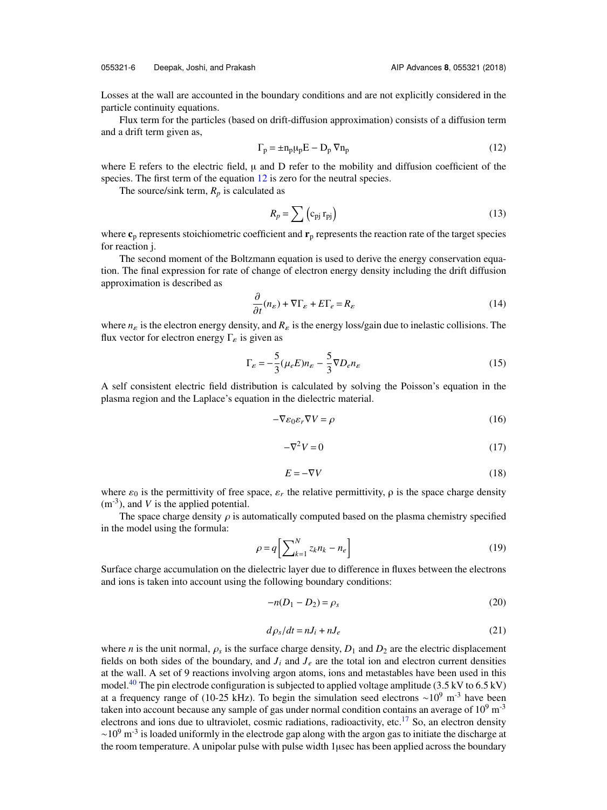Losses at the wall are accounted in the boundary conditions and are not explicitly considered in the particle continuity equations.

Flux term for the particles (based on drift-diffusion approximation) consists of a diffusion term and a drift term given as,

$$
\Gamma_{\mathbf{p}} = \pm \mathbf{n}_{\mathbf{p}} \mu_{\mathbf{p}} \mathbf{E} - \mathbf{D}_{\mathbf{p}} \nabla \mathbf{n}_{\mathbf{p}} \tag{12}
$$

where E refers to the electric field,  $\mu$  and D refer to the mobility and diffusion coefficient of the species. The first term of the equation 12 is zero for the neutral species.

The source/sink term,  $R_p$  is calculated as

$$
R_p = \sum \left( c_{pj} \, r_{pj} \right) \tag{13}
$$

where  $\mathbf{c}_p$  represents stoichiometric coefficient and  $\mathbf{r}_p$  represents the reaction rate of the target species for reaction j.

The second moment of the Boltzmann equation is used to derive the energy conservation equation. The final expression for rate of change of electron energy density including the drift diffusion approximation is described as

$$
\frac{\partial}{\partial t}(n_{\varepsilon}) + \nabla \Gamma_{\varepsilon} + E\Gamma_{e} = R_{\varepsilon}
$$
\n(14)

where  $n_{\varepsilon}$  is the electron energy density, and  $R_{\varepsilon}$  is the energy loss/gain due to inelastic collisions. The flux vector for electron energy  $\Gamma_{\varepsilon}$  is given as

$$
\Gamma_{\varepsilon} = -\frac{5}{3}(\mu_{e}E)n_{\varepsilon} - \frac{5}{3}\nabla D_{e}n_{\varepsilon}
$$
\n(15)

A self consistent electric field distribution is calculated by solving the Poisson's equation in the plasma region and the Laplace's equation in the dielectric material.

$$
-\nabla\varepsilon_0\varepsilon_r\nabla V = \rho\tag{16}
$$

$$
-\nabla^2 V = 0 \tag{17}
$$

$$
E = -\nabla V \tag{18}
$$

where  $\varepsilon_0$  is the permittivity of free space,  $\varepsilon_r$  the relative permittivity,  $\rho$  is the space charge density  $(m<sup>-3</sup>)$ , and *V* is the applied potential.

The space charge density  $\rho$  is automatically computed based on the plasma chemistry specified in the model using the formula:

$$
\rho = q \left[ \sum_{k=1}^{N} z_k n_k - n_e \right] \tag{19}
$$

Surface charge accumulation on the dielectric layer due to difference in fluxes between the electrons and ions is taken into account using the following boundary conditions:

$$
-n(D_1 - D_2) = \rho_s \tag{20}
$$

$$
d\rho_s/dt = nJ_i + nJ_e \tag{21}
$$

where *n* is the unit normal,  $\rho_s$  is the surface charge density,  $D_1$  and  $D_2$  are the electric displacement fields on both sides of the boundary, and  $J_i$  and  $J_e$  are the total ion and electron current densities at the wall. A set of 9 reactions involving argon atoms, ions and metastables have been used in this model.<sup>40</sup> The pin electrode configuration is subjected to applied voltage amplitude (3.5 kV to 6.5 kV) at a frequency range of (10-25 kHz). To begin the simulation seed electrons ~10<sup>9</sup> m<sup>-3</sup> have been taken into account because any sample of gas under normal condition contains an average of  $10^9$  m<sup>-3</sup> electrons and ions due to ultraviolet, cosmic radiations, radioactivity, etc.<sup>17</sup> So, an electron density  $\sim$ 10<sup>9</sup> m<sup>-3</sup> is loaded uniformly in the electrode gap along with the argon gas to initiate the discharge at the room temperature. A unipolar pulse with pulse width 1µsec has been applied across the boundary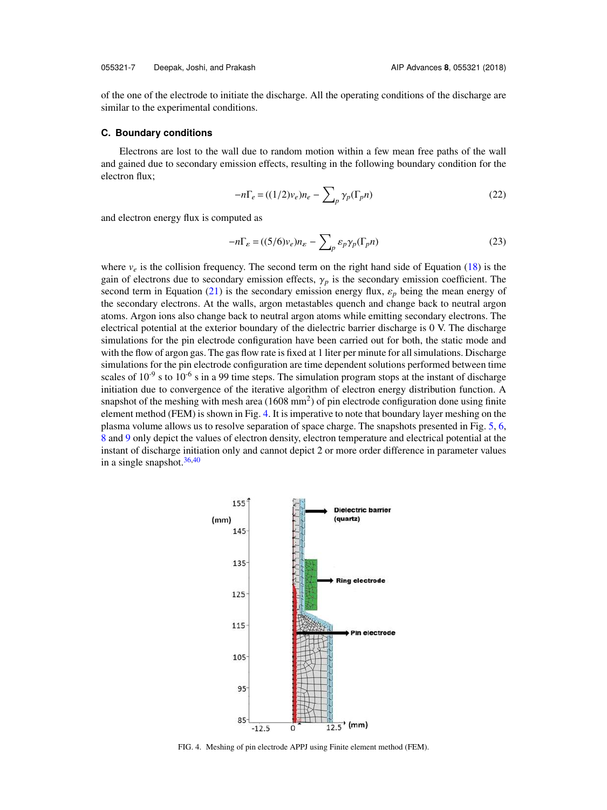of the one of the electrode to initiate the discharge. All the operating conditions of the discharge are similar to the experimental conditions.

#### **C. Boundary conditions**

Electrons are lost to the wall due to random motion within a few mean free paths of the wall and gained due to secondary emission effects, resulting in the following boundary condition for the electron flux;

$$
-n\Gamma_e = ((1/2)v_e)n_e - \sum_p \gamma_p(\Gamma_p n)
$$
\n(22)

and electron energy flux is computed as

$$
-n\Gamma_{\varepsilon} = ((5/6)v_{\varepsilon})n_{\varepsilon} - \sum_{p} \varepsilon_{p}\gamma_{p}(\Gamma_{p}n)
$$
\n(23)

where  $v_e$  is the collision frequency. The second term on the right hand side of Equation (18) is the gain of electrons due to secondary emission effects,  $\gamma_p$  is the secondary emission coefficient. The second term in Equation (21) is the secondary emission energy flux,  $\varepsilon_p$  being the mean energy of the secondary electrons. At the walls, argon metastables quench and change back to neutral argon atoms. Argon ions also change back to neutral argon atoms while emitting secondary electrons. The electrical potential at the exterior boundary of the dielectric barrier discharge is 0 V. The discharge simulations for the pin electrode configuration have been carried out for both, the static mode and with the flow of argon gas. The gas flow rate is fixed at 1 liter per minute for all simulations. Discharge simulations for the pin electrode configuration are time dependent solutions performed between time scales of  $10^{-9}$  s to  $10^{-6}$  s in a 99 time steps. The simulation program stops at the instant of discharge initiation due to convergence of the iterative algorithm of electron energy distribution function. A snapshot of the meshing with mesh area  $(1608 \text{ mm}^2)$  of pin electrode configuration done using finite element method (FEM) is shown in Fig. 4. It is imperative to note that boundary layer meshing on the plasma volume allows us to resolve separation of space charge. The snapshots presented in Fig. 5, 6, 8 and 9 only depict the values of electron density, electron temperature and electrical potential at the instant of discharge initiation only and cannot depict 2 or more order difference in parameter values in a single snapshot.  $36,40$ 



FIG. 4. Meshing of pin electrode APPJ using Finite element method (FEM).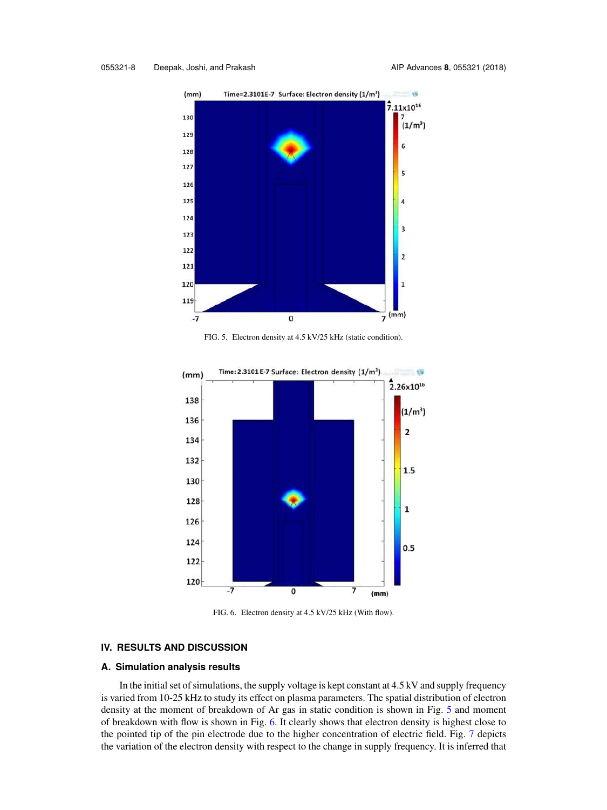

FIG. 5. Electron density at 4.5 kV/25 kHz (static condition).



FIG. 6. Electron density at 4.5 kV/25 kHz (With flow).

#### **IV. RESULTS AND DISCUSSION**

#### **A. Simulation analysis results**

In the initial set of simulations, the supply voltage is kept constant at 4.5 kV and supply frequency is varied from 10-25 kHz to study its effect on plasma parameters. The spatial distribution of electron density at the moment of breakdown of Ar gas in static condition is shown in Fig. 5 and moment of breakdown with flow is shown in Fig. 6. It clearly shows that electron density is highest close to the pointed tip of the pin electrode due to the higher concentration of electric field. Fig. 7 depicts the variation of the electron density with respect to the change in supply frequency. It is inferred that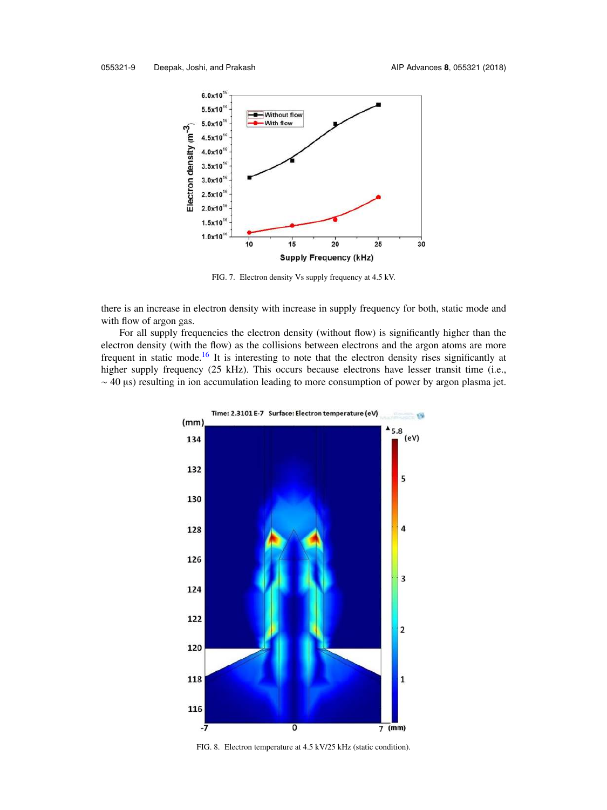

FIG. 7. Electron density Vs supply frequency at 4.5 kV.

there is an increase in electron density with increase in supply frequency for both, static mode and with flow of argon gas.

For all supply frequencies the electron density (without flow) is significantly higher than the electron density (with the flow) as the collisions between electrons and the argon atoms are more frequent in static mode.<sup>16</sup> It is interesting to note that the electron density rises significantly at higher supply frequency (25 kHz). This occurs because electrons have lesser transit time (i.e., ∼ 40 µs) resulting in ion accumulation leading to more consumption of power by argon plasma jet.



FIG. 8. Electron temperature at 4.5 kV/25 kHz (static condition).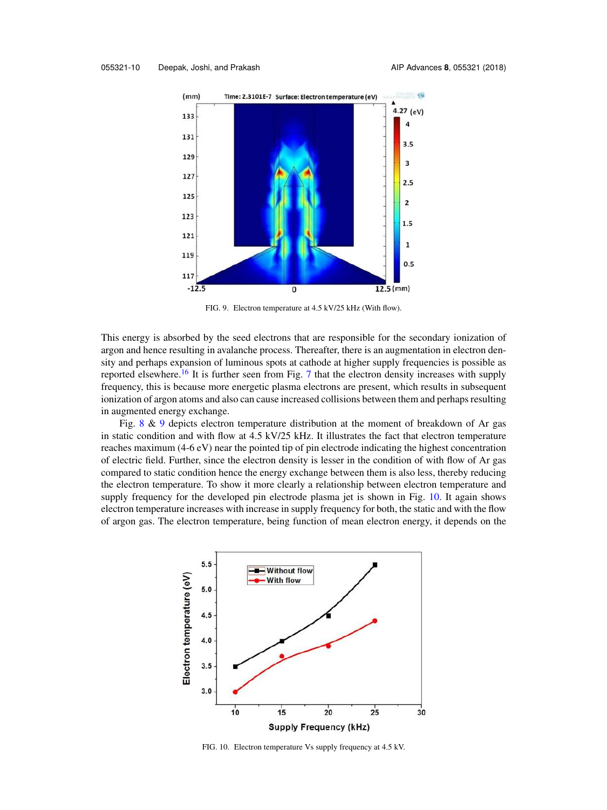

FIG. 9. Electron temperature at 4.5 kV/25 kHz (With flow).

This energy is absorbed by the seed electrons that are responsible for the secondary ionization of argon and hence resulting in avalanche process. Thereafter, there is an augmentation in electron density and perhaps expansion of luminous spots at cathode at higher supply frequencies is possible as reported elsewhere.<sup>16</sup> It is further seen from Fig. 7 that the electron density increases with supply frequency, this is because more energetic plasma electrons are present, which results in subsequent ionization of argon atoms and also can cause increased collisions between them and perhaps resulting in augmented energy exchange.

Fig. 8 & 9 depicts electron temperature distribution at the moment of breakdown of Ar gas in static condition and with flow at 4.5 kV/25 kHz. It illustrates the fact that electron temperature reaches maximum (4-6 eV) near the pointed tip of pin electrode indicating the highest concentration of electric field. Further, since the electron density is lesser in the condition of with flow of Ar gas compared to static condition hence the energy exchange between them is also less, thereby reducing the electron temperature. To show it more clearly a relationship between electron temperature and supply frequency for the developed pin electrode plasma jet is shown in Fig. 10. It again shows electron temperature increases with increase in supply frequency for both, the static and with the flow of argon gas. The electron temperature, being function of mean electron energy, it depends on the



FIG. 10. Electron temperature Vs supply frequency at 4.5 kV.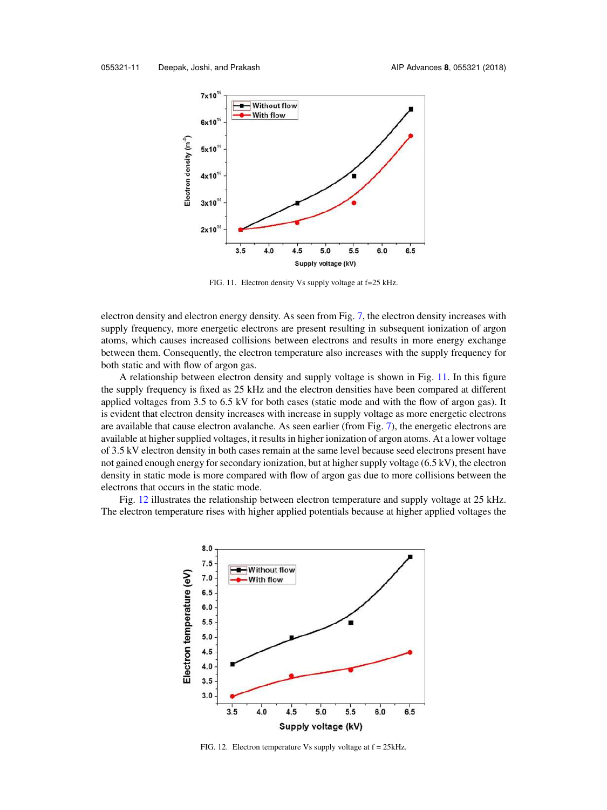

FIG. 11. Electron density Vs supply voltage at f=25 kHz.

electron density and electron energy density. As seen from Fig. 7, the electron density increases with supply frequency, more energetic electrons are present resulting in subsequent ionization of argon atoms, which causes increased collisions between electrons and results in more energy exchange between them. Consequently, the electron temperature also increases with the supply frequency for both static and with flow of argon gas.

A relationship between electron density and supply voltage is shown in Fig. 11. In this figure the supply frequency is fixed as 25 kHz and the electron densities have been compared at different applied voltages from 3.5 to 6.5 kV for both cases (static mode and with the flow of argon gas). It is evident that electron density increases with increase in supply voltage as more energetic electrons are available that cause electron avalanche. As seen earlier (from Fig. 7), the energetic electrons are available at higher supplied voltages, it results in higher ionization of argon atoms. At a lower voltage of 3.5 kV electron density in both cases remain at the same level because seed electrons present have not gained enough energy for secondary ionization, but at higher supply voltage (6.5 kV), the electron density in static mode is more compared with flow of argon gas due to more collisions between the electrons that occurs in the static mode.

Fig. 12 illustrates the relationship between electron temperature and supply voltage at 25 kHz. The electron temperature rises with higher applied potentials because at higher applied voltages the



FIG. 12. Electron temperature Vs supply voltage at f = 25kHz.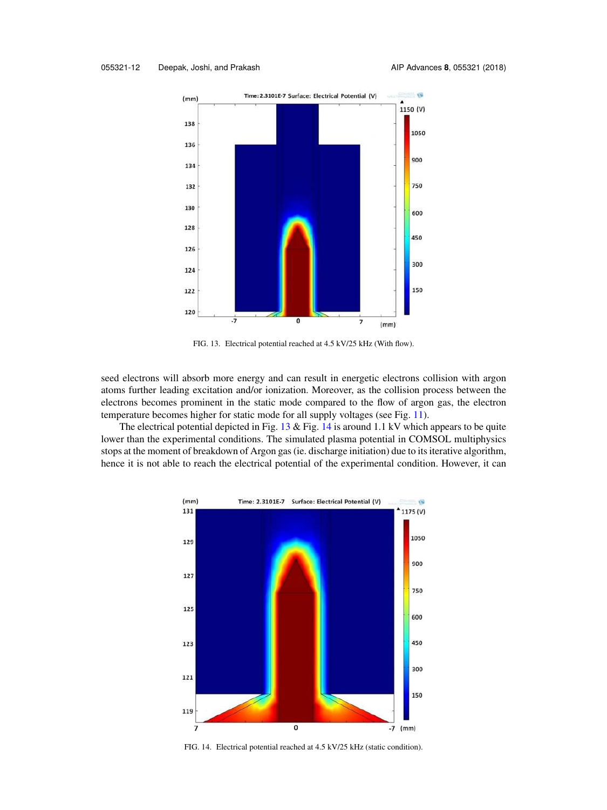

FIG. 13. Electrical potential reached at 4.5 kV/25 kHz (With flow).

seed electrons will absorb more energy and can result in energetic electrons collision with argon atoms further leading excitation and/or ionization. Moreover, as the collision process between the electrons becomes prominent in the static mode compared to the flow of argon gas, the electron temperature becomes higher for static mode for all supply voltages (see Fig. 11).

The electrical potential depicted in Fig.  $13 \&$  Fig. 14 is around 1.1 kV which appears to be quite lower than the experimental conditions. The simulated plasma potential in COMSOL multiphysics stops at the moment of breakdown of Argon gas (ie. discharge initiation) due to its iterative algorithm, hence it is not able to reach the electrical potential of the experimental condition. However, it can



FIG. 14. Electrical potential reached at 4.5 kV/25 kHz (static condition).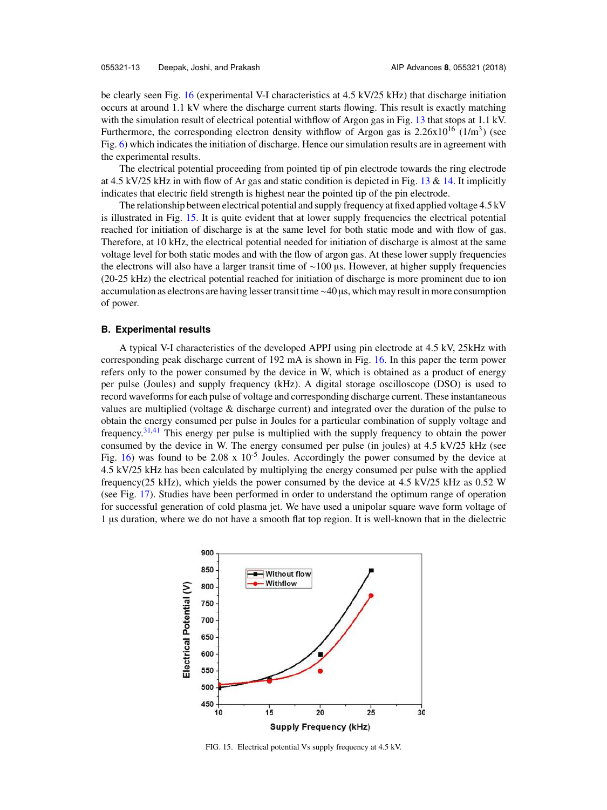be clearly seen Fig. 16 (experimental V-I characteristics at 4.5 kV/25 kHz) that discharge initiation occurs at around 1.1 kV where the discharge current starts flowing. This result is exactly matching with the simulation result of electrical potential withflow of Argon gas in Fig. 13 that stops at 1.1 kV. Furthermore, the corresponding electron density withflow of Argon gas is  $2.26 \times 10^{16}$  (1/m<sup>3</sup>) (see Fig. 6) which indicates the initiation of discharge. Hence our simulation results are in agreement with the experimental results.

The electrical potential proceeding from pointed tip of pin electrode towards the ring electrode at 4.5 kV/25 kHz in with flow of Ar gas and static condition is depicted in Fig. 13 & 14. It implicitly indicates that electric field strength is highest near the pointed tip of the pin electrode.

The relationship between electrical potential and supply frequency at fixed applied voltage 4.5 kV is illustrated in Fig. 15. It is quite evident that at lower supply frequencies the electrical potential reached for initiation of discharge is at the same level for both static mode and with flow of gas. Therefore, at 10 kHz, the electrical potential needed for initiation of discharge is almost at the same voltage level for both static modes and with the flow of argon gas. At these lower supply frequencies the electrons will also have a larger transit time of ∼100 μs. However, at higher supply frequencies (20-25 kHz) the electrical potential reached for initiation of discharge is more prominent due to ion accumulation as electrons are having lesser transit time∼40 µs, which may result in more consumption of power.

#### **B. Experimental results**

A typical V-I characteristics of the developed APPJ using pin electrode at 4.5 kV, 25kHz with corresponding peak discharge current of 192 mA is shown in Fig. 16. In this paper the term power refers only to the power consumed by the device in W, which is obtained as a product of energy per pulse (Joules) and supply frequency (kHz). A digital storage oscilloscope (DSO) is used to record waveforms for each pulse of voltage and corresponding discharge current. These instantaneous values are multiplied (voltage & discharge current) and integrated over the duration of the pulse to obtain the energy consumed per pulse in Joules for a particular combination of supply voltage and frequency.31,41 This energy per pulse is multiplied with the supply frequency to obtain the power consumed by the device in W. The energy consumed per pulse (in joules) at 4.5 kV/25 kHz (see Fig. 16) was found to be 2.08 x  $10^{-5}$  Joules. Accordingly the power consumed by the device at 4.5 kV/25 kHz has been calculated by multiplying the energy consumed per pulse with the applied frequency(25 kHz), which yields the power consumed by the device at 4.5 kV/25 kHz as 0.52 W (see Fig. 17). Studies have been performed in order to understand the optimum range of operation for successful generation of cold plasma jet. We have used a unipolar square wave form voltage of 1 µs duration, where we do not have a smooth flat top region. It is well-known that in the dielectric



FIG. 15. Electrical potential Vs supply frequency at 4.5 kV.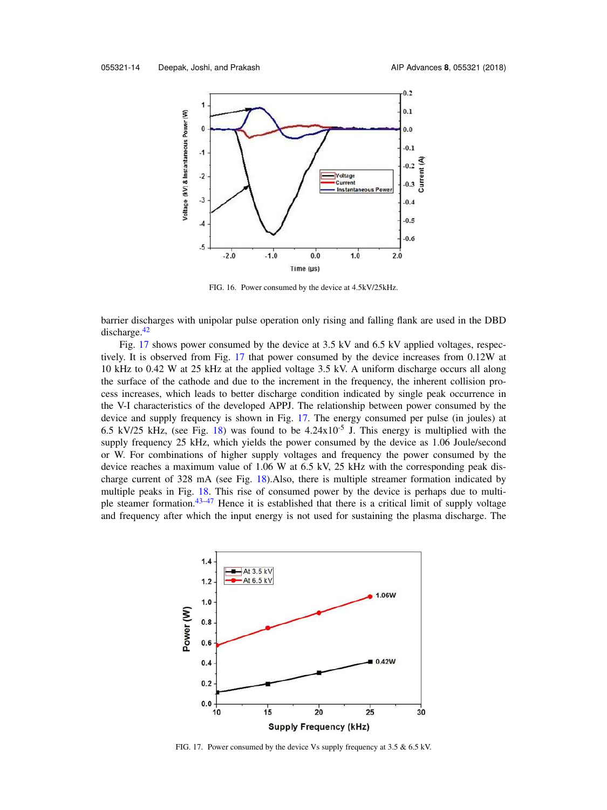

FIG. 16. Power consumed by the device at 4.5kV/25kHz.

barrier discharges with unipolar pulse operation only rising and falling flank are used in the DBD discharge.<sup>42</sup>

Fig. 17 shows power consumed by the device at 3.5 kV and 6.5 kV applied voltages, respectively. It is observed from Fig. 17 that power consumed by the device increases from 0.12W at 10 kHz to 0.42 W at 25 kHz at the applied voltage 3.5 kV. A uniform discharge occurs all along the surface of the cathode and due to the increment in the frequency, the inherent collision process increases, which leads to better discharge condition indicated by single peak occurrence in the V-I characteristics of the developed APPJ. The relationship between power consumed by the device and supply frequency is shown in Fig. 17. The energy consumed per pulse (in joules) at 6.5 kV/25 kHz, (see Fig. 18) was found to be  $4.24 \times 10^{-5}$  J. This energy is multiplied with the supply frequency 25 kHz, which yields the power consumed by the device as 1.06 Joule/second or W. For combinations of higher supply voltages and frequency the power consumed by the device reaches a maximum value of 1.06 W at 6.5 kV, 25 kHz with the corresponding peak discharge current of 328 mA (see Fig.  $18$ ). Also, there is multiple streamer formation indicated by multiple peaks in Fig. 18. This rise of consumed power by the device is perhaps due to multiple steamer formation.43–47 Hence it is established that there is a critical limit of supply voltage and frequency after which the input energy is not used for sustaining the plasma discharge. The



FIG. 17. Power consumed by the device Vs supply frequency at 3.5 & 6.5 kV.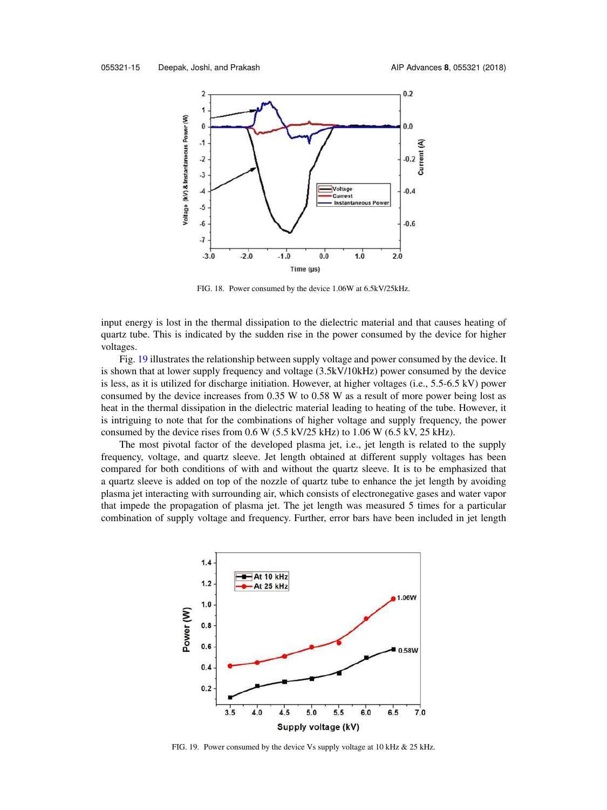

FIG. 18. Power consumed by the device 1.06W at 6.5kV/25kHz.

input energy is lost in the thermal dissipation to the dielectric material and that causes heating of quartz tube. This is indicated by the sudden rise in the power consumed by the device for higher voltages.

Fig. 19 illustrates the relationship between supply voltage and power consumed by the device. It is shown that at lower supply frequency and voltage (3.5kV/10kHz) power consumed by the device is less, as it is utilized for discharge initiation. However, at higher voltages (i.e., 5.5-6.5 kV) power consumed by the device increases from 0.35 W to 0.58 W as a result of more power being lost as heat in the thermal dissipation in the dielectric material leading to heating of the tube. However, it is intriguing to note that for the combinations of higher voltage and supply frequency, the power consumed by the device rises from  $0.6$  W ( $5.5$  kV/ $25$  kHz) to  $1.06$  W ( $6.5$  kV,  $25$  kHz).

The most pivotal factor of the developed plasma jet, i.e., jet length is related to the supply frequency, voltage, and quartz sleeve. Jet length obtained at different supply voltages has been compared for both conditions of with and without the quartz sleeve. It is to be emphasized that a quartz sleeve is added on top of the nozzle of quartz tube to enhance the jet length by avoiding plasma jet interacting with surrounding air, which consists of electronegative gases and water vapor that impede the propagation of plasma jet. The jet length was measured 5 times for a particular combination of supply voltage and frequency. Further, error bars have been included in jet length



FIG. 19. Power consumed by the device Vs supply voltage at 10 kHz & 25 kHz.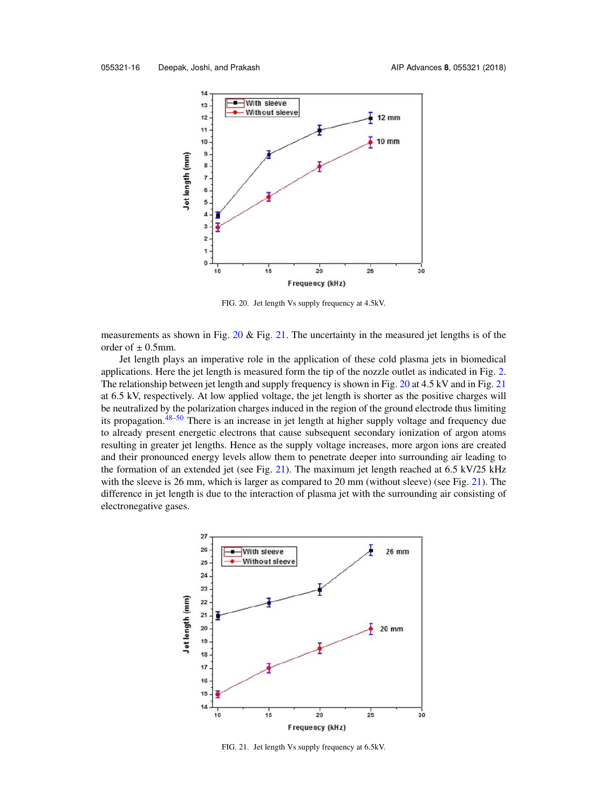

FIG. 20. Jet length Vs supply frequency at 4.5kV.

measurements as shown in Fig.  $20 \&$  Fig. 21. The uncertainty in the measured jet lengths is of the order of  $\pm$  0.5mm.

Jet length plays an imperative role in the application of these cold plasma jets in biomedical applications. Here the jet length is measured form the tip of the nozzle outlet as indicated in Fig. 2. The relationship between jet length and supply frequency is shown in Fig. 20 at 4.5 kV and in Fig. 21 at 6.5 kV, respectively. At low applied voltage, the jet length is shorter as the positive charges will be neutralized by the polarization charges induced in the region of the ground electrode thus limiting its propagation.48–50 There is an increase in jet length at higher supply voltage and frequency due to already present energetic electrons that cause subsequent secondary ionization of argon atoms resulting in greater jet lengths. Hence as the supply voltage increases, more argon ions are created and their pronounced energy levels allow them to penetrate deeper into surrounding air leading to the formation of an extended jet (see Fig. 21). The maximum jet length reached at  $6.5 \text{ kV}/25 \text{ kHz}$ with the sleeve is 26 mm, which is larger as compared to 20 mm (without sleeve) (see Fig. 21). The difference in jet length is due to the interaction of plasma jet with the surrounding air consisting of electronegative gases.



FIG. 21. Jet length Vs supply frequency at 6.5kV.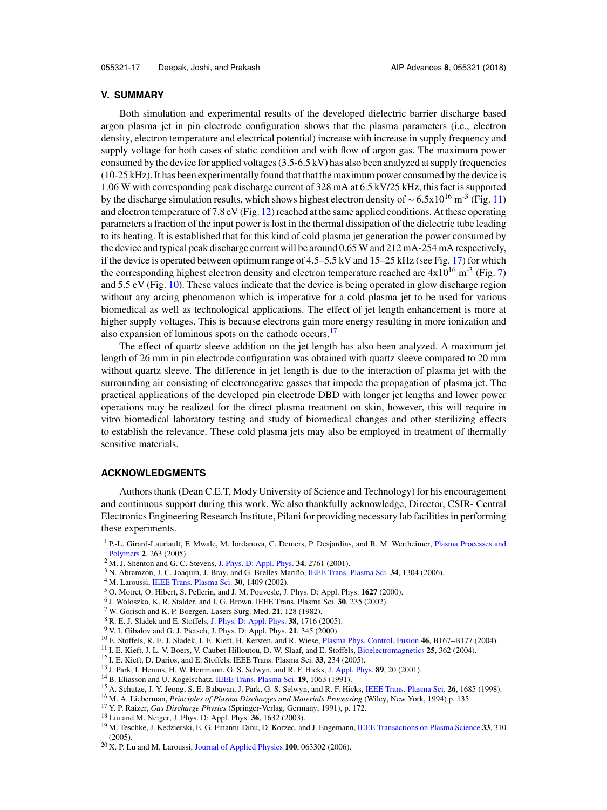### **V. SUMMARY**

Both simulation and experimental results of the developed dielectric barrier discharge based argon plasma jet in pin electrode configuration shows that the plasma parameters (i.e., electron density, electron temperature and electrical potential) increase with increase in supply frequency and supply voltage for both cases of static condition and with flow of argon gas. The maximum power consumed by the device for applied voltages (3.5-6.5 kV) has also been analyzed at supply frequencies (10-25 kHz). It has been experimentally found that that the maximum power consumed by the device is 1.06 W with corresponding peak discharge current of 328 mA at 6.5 kV/25 kHz, this fact is supported by the discharge simulation results, which shows highest electron density of ~ 6.5x10<sup>16</sup> m<sup>-3</sup> (Fig. 11) and electron temperature of 7.8 eV (Fig. 12) reached at the same applied conditions. At these operating parameters a fraction of the input power is lost in the thermal dissipation of the dielectric tube leading to its heating. It is established that for this kind of cold plasma jet generation the power consumed by the device and typical peak discharge current will be around 0.65 W and 212 mA-254 mA respectively, if the device is operated between optimum range of  $4.5-5.5$  kV and  $15-25$  kHz (see Fig. 17) for which the corresponding highest electron density and electron temperature reached are  $4x10^{16}$  m<sup>-3</sup> (Fig. 7) and 5.5 eV (Fig. 10). These values indicate that the device is being operated in glow discharge region without any arcing phenomenon which is imperative for a cold plasma jet to be used for various biomedical as well as technological applications. The effect of jet length enhancement is more at higher supply voltages. This is because electrons gain more energy resulting in more ionization and also expansion of luminous spots on the cathode occurs.<sup>17</sup>

The effect of quartz sleeve addition on the jet length has also been analyzed. A maximum jet length of 26 mm in pin electrode configuration was obtained with quartz sleeve compared to 20 mm without quartz sleeve. The difference in jet length is due to the interaction of plasma jet with the surrounding air consisting of electronegative gasses that impede the propagation of plasma jet. The practical applications of the developed pin electrode DBD with longer jet lengths and lower power operations may be realized for the direct plasma treatment on skin, however, this will require in vitro biomedical laboratory testing and study of biomedical changes and other sterilizing effects to establish the relevance. These cold plasma jets may also be employed in treatment of thermally sensitive materials.

## **ACKNOWLEDGMENTS**

Authors thank (Dean C.E.T, Mody University of Science and Technology) for his encouragement and continuous support during this work. We also thankfully acknowledge, Director, CSIR- Central Electronics Engineering Research Institute, Pilani for providing necessary lab facilities in performing these experiments.

- <sup>3</sup> N. Abramzon, J. C. Joaquin, J. Bray, and G. Brelles-Mariño, IEEE Trans. Plasma Sci. **34**, 1304 (2006).
- <sup>4</sup> M. Laroussi, IEEE Trans. Plasma Sci. **30**, 1409 (2002).
- <sup>5</sup> O. Motret, O. Hibert, S. Pellerin, and J. M. Pouvesle, J. Phys. D: Appl. Phys. **1627** (2000).
- 6 J. Woloszko, K. R. Stalder, and I. G. Brown, IEEE Trans. Plasma Sci. **30**, 235 (2002).
- <sup>7</sup> W. Gorisch and K. P. Boergen, Lasers Surg. Med. **21**, 128 (1982).
- <sup>8</sup> R. E. J. Sladek and E. Stoffels, J. Phys. D: Appl. Phys. **38**, 1716 (2005).
- <sup>9</sup> V. I. Gibalov and G. J. Pietsch, J. Phys. D: Appl. Phys. **21**, 345 (2000).
- <sup>10</sup> E. Stoffels, R. E. J. Sladek, I. E. Kieft, H. Kersten, and R. Wiese, Plasma Phys. Control. Fusion **46**, B167–B177 (2004).
- <sup>11</sup> I. E. Kieft, J. L. V. Boers, V. Caubet-Hilloutou, D. W. Slaaf, and E. Stoffels, Bioelectromagnetics **25**, 362 (2004).
- <sup>12</sup> I. E. Kieft, D. Darios, and E. Stoffels, IEEE Trans. Plasma Sci. **33**, 234 (2005).
- <sup>13</sup> J. Park, I. Henins, H. W. Herrmann, G. S. Selwyn, and R. F. Hicks, J. Appl. Phys. **89**, 20 (2001).
- <sup>14</sup> B. Eliasson and U. Kogelschatz, IEEE Trans. Plasma Sci. **19**, 1063 (1991).
- <sup>15</sup> A. Schutze, J. Y. Jeong, S. E. Babayan, J. Park, G. S. Selwyn, and R. F. Hicks, IEEE Trans. Plasma Sci. **26**, 1685 (1998).
- <sup>16</sup> M. A. Lieberman, *Principles of Plasma Discharges and Materials Processing* (Wiley, New York, 1994) p. 135
- <sup>17</sup> Y. P. Raizer, *Gas Discharge Physics* (Springer-Verlag, Germany, 1991), p. 172.
- <sup>18</sup> Liu and M. Neiger, J. Phys. D: Appl. Phys. **36**, 1632 (2003).
- <sup>19</sup> M. Teschke, J. Kedzierski, E. G. Finantu-Dinu, D. Korzec, and J. Engemann, IEEE Transactions on Plasma Science **33**, 310 (2005).
- <sup>20</sup> X. P. Lu and M. Laroussi, Journal of Applied Physics **100**, 063302 (2006).

<sup>&</sup>lt;sup>1</sup> P.-L. Girard-Lauriault, F. Mwale, M. Iordanova, C. Demers, P. Desjardins, and R. M. Wertheimer, Plasma Processes and Polymers **2**, 263 (2005).

<sup>2</sup> M. J. Shenton and G. C. Stevens, J. Phys. D: Appl. Phys. **34**, 2761 (2001).